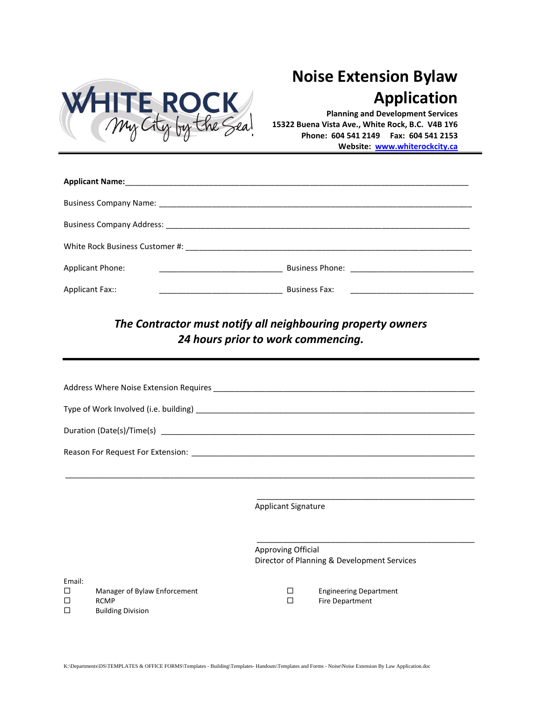

## **Noise Extension Bylaw Application**

**Planning and Development Services 15322 Buena Vista Ave., White Rock, B.C. V4B 1Y6 Phone: 604 541 2149 Fax: 604 541 2153 Website: [www.whiterockcity.ca](http://www.whiterockcity.ca/)**

| <b>Applicant Phone:</b><br><u> 1980 - Johann Harry Harry Harry Harry Harry Harry Harry Harry Harry Harry Harry Harry Harry Harry Harry Harry</u>                                                                                                        |                      |  |  |  |  |
|---------------------------------------------------------------------------------------------------------------------------------------------------------------------------------------------------------------------------------------------------------|----------------------|--|--|--|--|
| Applicant Fax::<br><u> 1989 - Johann Harry Harry Harry Harry Harry Harry Harry Harry Harry Harry Harry Harry Harry Harry Harry Harry Harry Harry Harry Harry Harry Harry Harry Harry Harry Harry Harry Harry Harry Harry Harry Harry Harry Harry Ha</u> | <b>Business Fax:</b> |  |  |  |  |

## *The Contractor must notify all neighbouring property owners 24 hours prior to work commencing.*

|             |                                                                         | <b>Applicant Signature</b>                                        |   |                                                         |  |
|-------------|-------------------------------------------------------------------------|-------------------------------------------------------------------|---|---------------------------------------------------------|--|
|             |                                                                         |                                                                   |   |                                                         |  |
|             |                                                                         | Approving Official<br>Director of Planning & Development Services |   |                                                         |  |
| Email:<br>П |                                                                         |                                                                   |   |                                                         |  |
| п<br>п      | Manager of Bylaw Enforcement<br><b>RCMP</b><br><b>Building Division</b> |                                                                   | П | <b>Engineering Department</b><br><b>Fire Department</b> |  |
|             |                                                                         |                                                                   |   |                                                         |  |